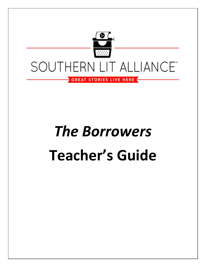

# *The Borrowers* **Teacher's Guide**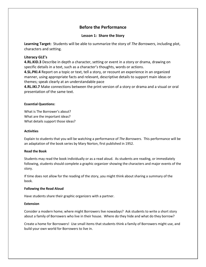# **Before the Performance**

## **Lesson 1: Share the Story**

**Learning Target:** Students will be able to summarize the story of *The Borrowers*, including plot, characters and setting.

## **Literacy GLE's**

**4.RL.KID.3** Describe in depth a character, setting or event in a story or drama, drawing on specific details in a text, such as a character's thoughts, words or actions.

**4.SL.PKI.4** Report on a topic or text, tell a story, or recount an experience in an organized manner, using appropriate facts and relevant, descriptive details to support main ideas or themes; speak clearly at an understandable pace

**4.RL.IKI.7** Make connections between the print version of a story or drama and a visual or oral presentation of the same text.

## **Essential Questions:**

What is The Borrower's about? What are the important ideas? What details support those ideas?

## **Activities**

Explain to students that you will be watching a performance of *The Borrowers*. This performance will be an adaptation of the book series by Mary Norton, first published in 1952.

## **Read the Book**

Students may read the book individually or as a read aloud. As students are reading, or immediately following, students should complete a graphic organizer showing the characters and major events of the story.

If time does not allow for the reading of the story, you might think about sharing a summary of the book.

## **Following the Read Aloud**

Have students share their graphic organizers with a partner.

## **Extension**

Consider a modern home; where might Borrowers live nowadays? Ask students to write a short story about a family of Borrowers who live in their house. Where do they hide and what do they borrow?

Create a home for Borrowers! Use small items that students think a family of Borrowers might use, and build your own world for Borrowers to live in.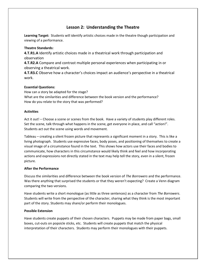# **Lesson 2: Understanding the Theatre**

**Learning Target:** Students will identify artistic choices made in the theatre though participation and viewing of a performance.

## **Theatre Standards:**

**4.T.R1.A** Identify artistic choices made in a theatrical work through participation and observation

**4.T.R2.A** Compare and contrast multiple personal experiences when participating in or observing a theatrical work.

**4.T.R3.C** Observe how a character's choices impact an audience's perspective in a theatrical work.

## **Essential Questions:**

How can a story be adapted for the stage? What are the similarities and difference between the book version and the performance? How do you relate to the story that was performed?

## **Activities**

Act it out! – Choose a scene or scenes from the book. Have a variety of students play different roles. Set the scene, talk through what happens in the scene, get everyone in place, and call "action!". Students act out the scene using words and movement.

Tableau – creating a silent frozen picture that represents a significant moment in a story. This is like a living photograph. Students use expressive faces, body poses, and positioning of themselves to create a visual image of a circumstance found in the text. This shows how actors use their faces and bodies to communicate, how characters in this circumstance would likely think and feel and how incorporating actions and expressions not directly stated in the text may help tell the story, even in a silent, frozen picture.

## **After the Performance**

Discuss the similarities and difference between the book version of *The Borrowers* and the performance. Was there anything that surprised the students or that they weren't expecting? Create a Venn diagram comparing the two versions.

Have students write a short monologue (as little as three sentences) as a character from *The Borrowers*. Students will write from the perspective of the character, sharing what they think is the most important part of the story. Students may share/or perform their monologues.

## **Possible Extension**

Have students create puppets of their chosen characters. Puppets may be made from paper bags, small boxes, cut-outs on popsicle sticks, etc. Students will create puppets that match the physical interpretation of their characters. Students may perform their monologues with their puppets.